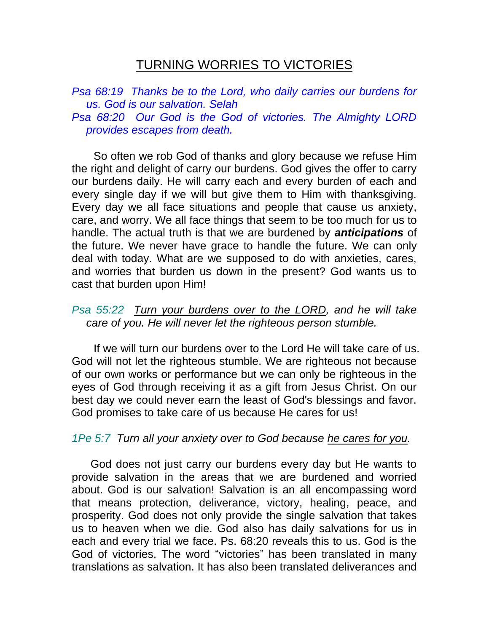## TURNING WORRIES TO VICTORIES

*Psa 68:19 Thanks be to the Lord, who daily carries our burdens for us. God is our salvation. Selah Psa 68:20 Our God is the God of victories. The Almighty LORD provides escapes from death.* 

 So often we rob God of thanks and glory because we refuse Him the right and delight of carry our burdens. God gives the offer to carry our burdens daily. He will carry each and every burden of each and every single day if we will but give them to Him with thanksgiving. Every day we all face situations and people that cause us anxiety, care, and worry. We all face things that seem to be too much for us to handle. The actual truth is that we are burdened by *anticipations* of the future. We never have grace to handle the future. We can only deal with today. What are we supposed to do with anxieties, cares, and worries that burden us down in the present? God wants us to cast that burden upon Him!

## *Psa 55:22 Turn your burdens over to the LORD, and he will take care of you. He will never let the righteous person stumble.*

 If we will turn our burdens over to the Lord He will take care of us. God will not let the righteous stumble. We are righteous not because of our own works or performance but we can only be righteous in the eyes of God through receiving it as a gift from Jesus Christ. On our best day we could never earn the least of God's blessings and favor. God promises to take care of us because He cares for us!

## *1Pe 5:7 Turn all your anxiety over to God because he cares for you.*

 God does not just carry our burdens every day but He wants to provide salvation in the areas that we are burdened and worried about. God is our salvation! Salvation is an all encompassing word that means protection, deliverance, victory, healing, peace, and prosperity. God does not only provide the single salvation that takes us to heaven when we die. God also has daily salvations for us in each and every trial we face. Ps. 68:20 reveals this to us. God is the God of victories. The word "victories" has been translated in many translations as salvation. It has also been translated deliverances and